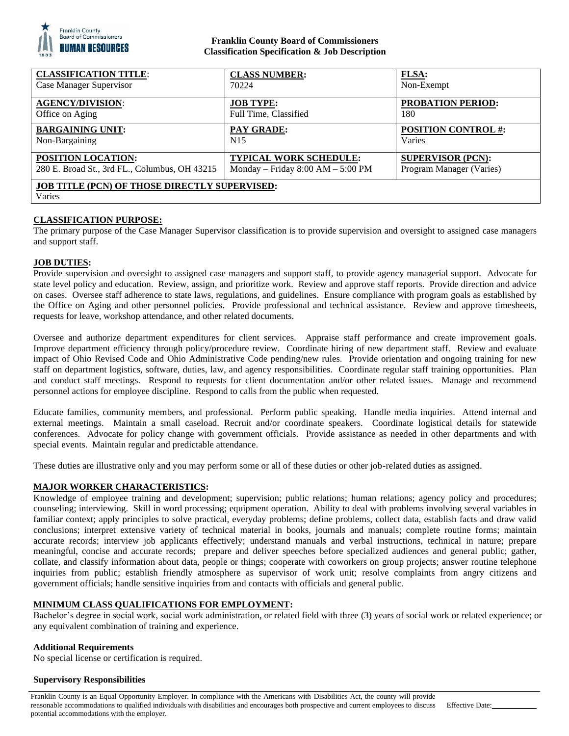

### **Franklin County Board of Commissioners Classification Specification & Job Description**

| <b>CLASSIFICATION TITLE:</b>                         | <b>CLASS NUMBER:</b>                | <b>FLSA:</b>               |
|------------------------------------------------------|-------------------------------------|----------------------------|
| Case Manager Supervisor                              | 70224                               | Non-Exempt                 |
| <b>AGENCY/DIVISION:</b>                              | <b>JOB TYPE:</b>                    | <b>PROBATION PERIOD:</b>   |
| Office on Aging                                      | Full Time, Classified               | 180                        |
| <b>BARGAINING UNIT:</b>                              | <b>PAY GRADE:</b>                   | <b>POSITION CONTROL #:</b> |
| Non-Bargaining                                       | N <sub>15</sub>                     | Varies                     |
| <b>POSITION LOCATION:</b>                            | <b>TYPICAL WORK SCHEDULE:</b>       | <b>SUPERVISOR (PCN):</b>   |
| 280 E. Broad St., 3rd FL., Columbus, OH 43215        | Monday – Friday $8:00 AM - 5:00 PM$ | Program Manager (Varies)   |
| <b>JOB TITLE (PCN) OF THOSE DIRECTLY SUPERVISED:</b> |                                     |                            |
| Varies                                               |                                     |                            |

# **CLASSIFICATION PURPOSE:**

The primary purpose of the Case Manager Supervisor classification is to provide supervision and oversight to assigned case managers and support staff.

#### **JOB DUTIES:**

Provide supervision and oversight to assigned case managers and support staff, to provide agency managerial support. Advocate for state level policy and education. Review, assign, and prioritize work. Review and approve staff reports. Provide direction and advice on cases. Oversee staff adherence to state laws, regulations, and guidelines. Ensure compliance with program goals as established by the Office on Aging and other personnel policies. Provide professional and technical assistance. Review and approve timesheets, requests for leave, workshop attendance, and other related documents.

Oversee and authorize department expenditures for client services. Appraise staff performance and create improvement goals. Improve department efficiency through policy/procedure review. Coordinate hiring of new department staff. Review and evaluate impact of Ohio Revised Code and Ohio Administrative Code pending/new rules. Provide orientation and ongoing training for new staff on department logistics, software, duties, law, and agency responsibilities. Coordinate regular staff training opportunities. Plan and conduct staff meetings. Respond to requests for client documentation and/or other related issues. Manage and recommend personnel actions for employee discipline. Respond to calls from the public when requested.

Educate families, community members, and professional. Perform public speaking. Handle media inquiries. Attend internal and external meetings. Maintain a small caseload. Recruit and/or coordinate speakers. Coordinate logistical details for statewide conferences. Advocate for policy change with government officials. Provide assistance as needed in other departments and with special events. Maintain regular and predictable attendance.

These duties are illustrative only and you may perform some or all of these duties or other job-related duties as assigned.

#### **MAJOR WORKER CHARACTERISTICS:**

Knowledge of employee training and development; supervision; public relations; human relations; agency policy and procedures; counseling; interviewing. Skill in word processing; equipment operation. Ability to deal with problems involving several variables in familiar context; apply principles to solve practical, everyday problems; define problems, collect data, establish facts and draw valid conclusions; interpret extensive variety of technical material in books, journals and manuals; complete routine forms; maintain accurate records; interview job applicants effectively; understand manuals and verbal instructions, technical in nature; prepare meaningful, concise and accurate records; prepare and deliver speeches before specialized audiences and general public; gather, collate, and classify information about data, people or things; cooperate with coworkers on group projects; answer routine telephone inquiries from public; establish friendly atmosphere as supervisor of work unit; resolve complaints from angry citizens and government officials; handle sensitive inquiries from and contacts with officials and general public.

#### **MINIMUM CLASS QUALIFICATIONS FOR EMPLOYMENT:**

Bachelor's degree in social work, social work administration, or related field with three (3) years of social work or related experience; or any equivalent combination of training and experience.

#### **Additional Requirements**

No special license or certification is required.

#### **Supervisory Responsibilities**

Franklin County is an Equal Opportunity Employer. In compliance with the Americans with Disabilities Act, the county will provide reasonable accommodations to qualified individuals with disabilities and encourages both prospective and current employees to discuss potential accommodations with the employer.